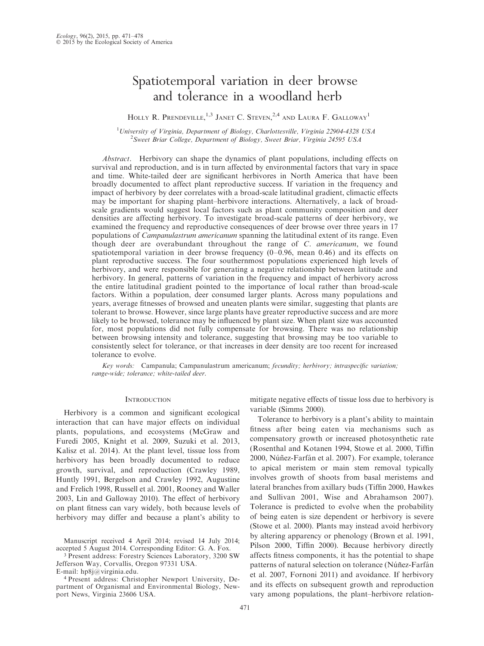# Spatiotemporal variation in deer browse and tolerance in a woodland herb

HOLLY R. PRENDEVILLE,  $^{1,3}$  Janet C. Steven,  $^{2,4}$  and Laura F. Galloway<sup>1</sup>

<sup>1</sup>University of Virginia, Department of Biology, Charlottesville, Virginia 22904-4328 USA<br><sup>2</sup>Sweet Briar College, Department of Biology, Sweet Briar, Virginia 24505 USA  $^{2}$ Sweet Briar College, Department of Biology, Sweet Briar, Virginia 24595 USA

Abstract. Herbivory can shape the dynamics of plant populations, including effects on survival and reproduction, and is in turn affected by environmental factors that vary in space and time. White-tailed deer are significant herbivores in North America that have been broadly documented to affect plant reproductive success. If variation in the frequency and impact of herbivory by deer correlates with a broad-scale latitudinal gradient, climactic effects may be important for shaping plant–herbivore interactions. Alternatively, a lack of broadscale gradients would suggest local factors such as plant community composition and deer densities are affecting herbivory. To investigate broad-scale patterns of deer herbivory, we examined the frequency and reproductive consequences of deer browse over three years in 17 populations of *Campanulastrum americanum* spanning the latitudinal extent of its range. Even though deer are overabundant throughout the range of  $C$ . americanum, we found spatiotemporal variation in deer browse frequency  $(0-0.96, \text{ mean } 0.46)$  and its effects on plant reproductive success. The four southernmost populations experienced high levels of herbivory, and were responsible for generating a negative relationship between latitude and herbivory. In general, patterns of variation in the frequency and impact of herbivory across the entire latitudinal gradient pointed to the importance of local rather than broad-scale factors. Within a population, deer consumed larger plants. Across many populations and years, average fitnesses of browsed and uneaten plants were similar, suggesting that plants are tolerant to browse. However, since large plants have greater reproductive success and are more likely to be browsed, tolerance may be influenced by plant size. When plant size was accounted for, most populations did not fully compensate for browsing. There was no relationship between browsing intensity and tolerance, suggesting that browsing may be too variable to consistently select for tolerance, or that increases in deer density are too recent for increased tolerance to evolve.

Key words: Campanula; Campanulastrum americanum; fecundity; herbivory; intraspecific variation; range-wide; tolerance; white-tailed deer.

#### **INTRODUCTION**

Herbivory is a common and significant ecological interaction that can have major effects on individual plants, populations, and ecosystems (McGraw and Furedi 2005, Knight et al. 2009, Suzuki et al. 2013, Kalisz et al. 2014). At the plant level, tissue loss from herbivory has been broadly documented to reduce growth, survival, and reproduction (Crawley 1989, Huntly 1991, Bergelson and Crawley 1992, Augustine and Frelich 1998, Russell et al. 2001, Rooney and Waller 2003, Lin and Galloway 2010). The effect of herbivory on plant fitness can vary widely, both because levels of herbivory may differ and because a plant's ability to

<sup>3</sup> Present address: Forestry Sciences Laboratory, 3200 SW Jefferson Way, Corvallis, Oregon 97331 USA.

E-mail: hp8j@virginia.edu.

4 Present address: Christopher Newport University, Department of Organismal and Environmental Biology, Newport News, Virginia 23606 USA.

mitigate negative effects of tissue loss due to herbivory is variable (Simms 2000).

Tolerance to herbivory is a plant's ability to maintain fitness after being eaten via mechanisms such as compensatory growth or increased photosynthetic rate (Rosenthal and Kotanen 1994, Stowe et al. 2000, Tiffin 2000, Núñez-Farfán et al. 2007). For example, tolerance to apical meristem or main stem removal typically involves growth of shoots from basal meristems and lateral branches from axillary buds (Tiffin 2000, Hawkes and Sullivan 2001, Wise and Abrahamson 2007). Tolerance is predicted to evolve when the probability of being eaten is size dependent or herbivory is severe (Stowe et al. 2000). Plants may instead avoid herbivory by altering apparency or phenology (Brown et al. 1991, Pilson 2000, Tiffin 2000). Because herbivory directly affects fitness components, it has the potential to shape patterns of natural selection on tolerance (Núñez-Farfán et al. 2007, Fornoni 2011) and avoidance. If herbivory and its effects on subsequent growth and reproduction vary among populations, the plant–herbivore relation-

Manuscript received 4 April 2014; revised 14 July 2014; accepted 5 August 2014. Corresponding Editor: G. A. Fox.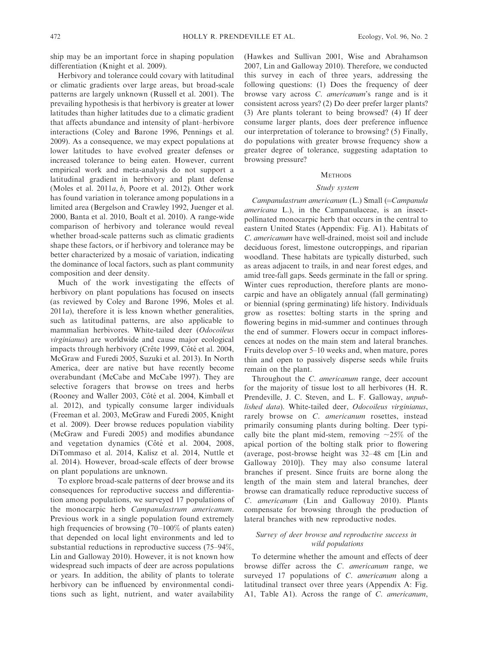ship may be an important force in shaping population differentiation (Knight et al. 2009).

Herbivory and tolerance could covary with latitudinal or climatic gradients over large areas, but broad-scale patterns are largely unknown (Russell et al. 2001). The prevailing hypothesis is that herbivory is greater at lower latitudes than higher latitudes due to a climatic gradient that affects abundance and intensity of plant–herbivore interactions (Coley and Barone 1996, Pennings et al. 2009). As a consequence, we may expect populations at lower latitudes to have evolved greater defenses or increased tolerance to being eaten. However, current empirical work and meta-analysis do not support a latitudinal gradient in herbivory and plant defense (Moles et al. 2011a, b, Poore et al. 2012). Other work has found variation in tolerance among populations in a limited area (Bergelson and Crawley 1992, Juenger et al. 2000, Banta et al. 2010, Boalt et al. 2010). A range-wide comparison of herbivory and tolerance would reveal whether broad-scale patterns such as climatic gradients shape these factors, or if herbivory and tolerance may be better characterized by a mosaic of variation, indicating the dominance of local factors, such as plant community composition and deer density.

Much of the work investigating the effects of herbivory on plant populations has focused on insects (as reviewed by Coley and Barone 1996, Moles et al.  $2011a$ ), therefore it is less known whether generalities, such as latitudinal patterns, are also applicable to mammalian herbivores. White-tailed deer (Odocoileus virginianus) are worldwide and cause major ecological impacts through herbivory (Crête 1999, Côté et al. 2004, McGraw and Furedi 2005, Suzuki et al. 2013). In North America, deer are native but have recently become overabundant (McCabe and McCabe 1997). They are selective foragers that browse on trees and herbs (Rooney and Waller 2003, Côté et al. 2004, Kimball et al. 2012), and typically consume larger individuals (Freeman et al. 2003, McGraw and Furedi 2005, Knight et al. 2009). Deer browse reduces population viability (McGraw and Furedi 2005) and modifies abundance and vegetation dynamics (Côté et al. 2004, 2008, DiTommaso et al. 2014, Kalisz et al. 2014, Nuttle et al. 2014). However, broad-scale effects of deer browse on plant populations are unknown.

To explore broad-scale patterns of deer browse and its consequences for reproductive success and differentiation among populations, we surveyed 17 populations of the monocarpic herb Campanulastrum americanum. Previous work in a single population found extremely high frequencies of browsing (70–100% of plants eaten) that depended on local light environments and led to substantial reductions in reproductive success (75–94%, Lin and Galloway 2010). However, it is not known how widespread such impacts of deer are across populations or years. In addition, the ability of plants to tolerate herbivory can be influenced by environmental conditions such as light, nutrient, and water availability

(Hawkes and Sullivan 2001, Wise and Abrahamson 2007, Lin and Galloway 2010). Therefore, we conducted this survey in each of three years, addressing the following questions: (1) Does the frequency of deer browse vary across C. americanum's range and is it consistent across years? (2) Do deer prefer larger plants? (3) Are plants tolerant to being browsed? (4) If deer consume larger plants, does deer preference influence our interpretation of tolerance to browsing? (5) Finally, do populations with greater browse frequency show a greater degree of tolerance, suggesting adaptation to browsing pressure?

## **METHODS**

## Study system

Campanulastrum americanum  $(L)$  Small  $(=Canpanula)$ americana L.), in the Campanulaceae, is an insectpollinated monocarpic herb that occurs in the central to eastern United States (Appendix: Fig. A1). Habitats of C. americanum have well-drained, moist soil and include deciduous forest, limestone outcroppings, and riparian woodland. These habitats are typically disturbed, such as areas adjacent to trails, in and near forest edges, and amid tree-fall gaps. Seeds germinate in the fall or spring. Winter cues reproduction, therefore plants are monocarpic and have an obligately annual (fall germinating) or biennial (spring germinating) life history. Individuals grow as rosettes: bolting starts in the spring and flowering begins in mid-summer and continues through the end of summer. Flowers occur in compact inflorescences at nodes on the main stem and lateral branches. Fruits develop over 5–10 weeks and, when mature, pores thin and open to passively disperse seeds while fruits remain on the plant.

Throughout the C. americanum range, deer account for the majority of tissue lost to all herbivores (H. R. Prendeville, J. C. Steven, and L. F. Galloway, unpublished data). White-tailed deer, Odocoileus virginianus, rarely browse on C. americanum rosettes, instead primarily consuming plants during bolting. Deer typically bite the plant mid-stem, removing  $\approx 25\%$  of the apical portion of the bolting stalk prior to flowering (average, post-browse height was 32–48 cm [Lin and Galloway 2010]). They may also consume lateral branches if present. Since fruits are borne along the length of the main stem and lateral branches, deer browse can dramatically reduce reproductive success of C. americanum (Lin and Galloway 2010). Plants compensate for browsing through the production of lateral branches with new reproductive nodes.

## Survey of deer browse and reproductive success in wild populations

To determine whether the amount and effects of deer browse differ across the C. americanum range, we surveyed 17 populations of C. americanum along a latitudinal transect over three years (Appendix A: Fig. A1, Table A1). Across the range of C. americanum,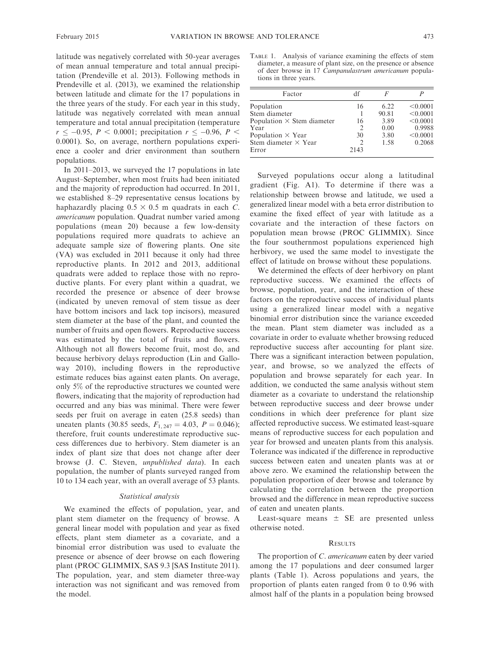latitude was negatively correlated with 50-year averages of mean annual temperature and total annual precipitation (Prendeville et al. 2013). Following methods in Prendeville et al. (2013), we examined the relationship between latitude and climate for the 17 populations in the three years of the study. For each year in this study, latitude was negatively correlated with mean annual temperature and total annual precipitation (temperature  $r \le -0.95$ ,  $P < 0.0001$ ; precipitation  $r \le -0.96$ ,  $P <$ 0.0001). So, on average, northern populations experience a cooler and drier environment than southern populations.

In 2011–2013, we surveyed the 17 populations in late August–September, when most fruits had been initiated and the majority of reproduction had occurred. In 2011, we established 8–29 representative census locations by haphazardly placing  $0.5 \times 0.5$  m quadrats in each C. americanum population. Quadrat number varied among populations (mean 20) because a few low-density populations required more quadrats to achieve an adequate sample size of flowering plants. One site (VA) was excluded in 2011 because it only had three reproductive plants. In 2012 and 2013, additional quadrats were added to replace those with no reproductive plants. For every plant within a quadrat, we recorded the presence or absence of deer browse (indicated by uneven removal of stem tissue as deer have bottom incisors and lack top incisors), measured stem diameter at the base of the plant, and counted the number of fruits and open flowers. Reproductive success was estimated by the total of fruits and flowers. Although not all flowers become fruit, most do, and because herbivory delays reproduction (Lin and Galloway 2010), including flowers in the reproductive estimate reduces bias against eaten plants. On average, only 5% of the reproductive structures we counted were flowers, indicating that the majority of reproduction had occurred and any bias was minimal. There were fewer seeds per fruit on average in eaten (25.8 seeds) than uneaten plants (30.85 seeds,  $F_{1,247} = 4.03$ ,  $P = 0.046$ ); therefore, fruit counts underestimate reproductive success differences due to herbivory. Stem diameter is an index of plant size that does not change after deer browse (J. C. Steven, unpublished data). In each population, the number of plants surveyed ranged from 10 to 134 each year, with an overall average of 53 plants.

## Statistical analysis

We examined the effects of population, year, and plant stem diameter on the frequency of browse. A general linear model with population and year as fixed effects, plant stem diameter as a covariate, and a binomial error distribution was used to evaluate the presence or absence of deer browse on each flowering plant (PROC GLIMMIX, SAS 9.3 [SAS Institute 2011). The population, year, and stem diameter three-way interaction was not significant and was removed from the model.

TABLE 1. Analysis of variance examining the effects of stem diameter, a measure of plant size, on the presence or absence of deer browse in 17 Campanulastrum americanum populations in three years.

| Factor                            | df            | F     |          |
|-----------------------------------|---------------|-------|----------|
| Population                        | 16            | 6.22  | < 0.0001 |
| Stem diameter                     |               | 90.81 | < 0.0001 |
| Population $\times$ Stem diameter | 16            | 3.89  | < 0.0001 |
| Year                              | $\mathcal{L}$ | 0.00  | 0.9988   |
| Population $\times$ Year          | 30            | 3.80  | < 0.0001 |
| Stem diameter $\times$ Year       | っ             | 1.58  | 0.2068   |
| Error                             | 2143          |       |          |

Surveyed populations occur along a latitudinal gradient (Fig. A1). To determine if there was a relationship between browse and latitude, we used a generalized linear model with a beta error distribution to examine the fixed effect of year with latitude as a covariate and the interaction of these factors on population mean browse (PROC GLIMMIX). Since the four southernmost populations experienced high herbivory, we used the same model to investigate the effect of latitude on browse without these populations.

We determined the effects of deer herbivory on plant reproductive success. We examined the effects of browse, population, year, and the interaction of these factors on the reproductive success of individual plants using a generalized linear model with a negative binomial error distribution since the variance exceeded the mean. Plant stem diameter was included as a covariate in order to evaluate whether browsing reduced reproductive success after accounting for plant size. There was a significant interaction between population, year, and browse, so we analyzed the effects of population and browse separately for each year. In addition, we conducted the same analysis without stem diameter as a covariate to understand the relationship between reproductive success and deer browse under conditions in which deer preference for plant size affected reproductive success. We estimated least-square means of reproductive success for each population and year for browsed and uneaten plants from this analysis. Tolerance was indicated if the difference in reproductive success between eaten and uneaten plants was at or above zero. We examined the relationship between the population proportion of deer browse and tolerance by calculating the correlation between the proportion browsed and the difference in mean reproductive success of eaten and uneaten plants.

Least-square means  $\pm$  SE are presented unless otherwise noted.

#### **RESULTS**

The proportion of *C. americanum* eaten by deer varied among the 17 populations and deer consumed larger plants (Table 1). Across populations and years, the proportion of plants eaten ranged from 0 to 0.96 with almost half of the plants in a population being browsed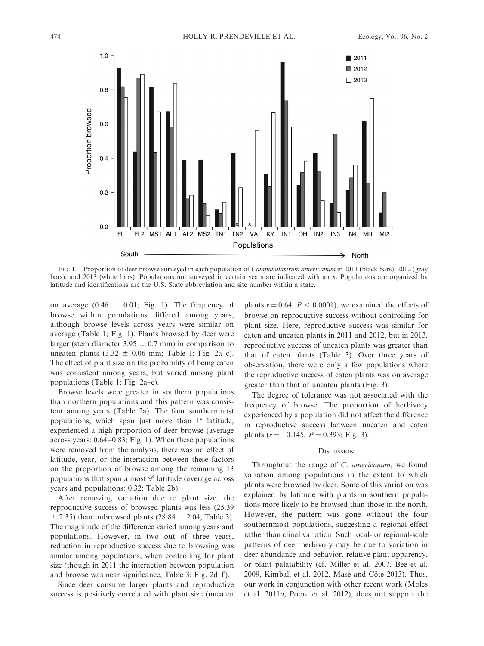

FIG. 1. Proportion of deer browse surveyed in each population of *Campanulastrum americanum* in 2011 (black bars), 2012 (gray bars), and 2013 (white bars). Populations not surveyed in certain years are indicated with an x. Populations are organized by latitude and identifications are the U.S. State abbreviation and site number within a state.

on average (0.46  $\pm$  0.01; Fig. 1). The frequency of browse within populations differed among years, although browse levels across years were similar on average (Table 1; Fig. 1). Plants browsed by deer were larger (stem diameter  $3.95 \pm 0.7$  mm) in comparison to uneaten plants  $(3.32 \pm 0.06 \text{ mm})$ ; Table 1; Fig. 2a–c). The effect of plant size on the probability of being eaten was consistent among years, but varied among plant populations (Table 1; Fig. 2a–c).

Browse levels were greater in southern populations than northern populations and this pattern was consistent among years (Table 2a). The four southernmost populations, which span just more than  $1^\circ$  latitude, experienced a high proportion of deer browse (average across years: 0.64–0.83; Fig. 1). When these populations were removed from the analysis, there was no effect of latitude, year, or the interaction between these factors on the proportion of browse among the remaining 13 populations that span almost  $9^{\circ}$  latitude (average across years and populations: 0.32; Table 2b).

After removing variation due to plant size, the reproductive success of browsed plants was less (25.39  $\pm$  2.35) than unbrowsed plants (28.84  $\pm$  2.04; Table 3). The magnitude of the difference varied among years and populations. However, in two out of three years, reduction in reproductive success due to browsing was similar among populations, when controlling for plant size (though in 2011 the interaction between population and browse was near significance, Table 3; Fig. 2d–f ).

Since deer consume larger plants and reproductive success is positively correlated with plant size (uneaten plants  $r = 0.64$ ,  $P < 0.0001$ ), we examined the effects of browse on reproductive success without controlling for plant size. Here, reproductive success was similar for eaten and uneaten plants in 2011 and 2012, but in 2013, reproductive success of uneaten plants was greater than that of eaten plants (Table 3). Over three years of observation, there were only a few populations where the reproductive success of eaten plants was on average greater than that of uneaten plants (Fig. 3).

The degree of tolerance was not associated with the frequency of browse. The proportion of herbivory experienced by a population did not affect the difference in reproductive success between uneaten and eaten plants ( $r = -0.145$ ,  $P = 0.393$ ; Fig. 3).

### **DISCUSSION**

Throughout the range of C. americanum, we found variation among populations in the extent to which plants were browsed by deer. Some of this variation was explained by latitude with plants in southern populations more likely to be browsed than those in the north. However, the pattern was gone without the four southernmost populations, suggesting a regional effect rather than clinal variation. Such local- or regional-scale patterns of deer herbivory may be due to variation in deer abundance and behavior, relative plant apparency, or plant palatability (cf. Miller et al. 2007, Bee et al. 2009, Kimball et al. 2012, Masé and Côté 2013). Thus, our work in conjunction with other recent work (Moles et al. 2011a, Poore et al. 2012), does not support the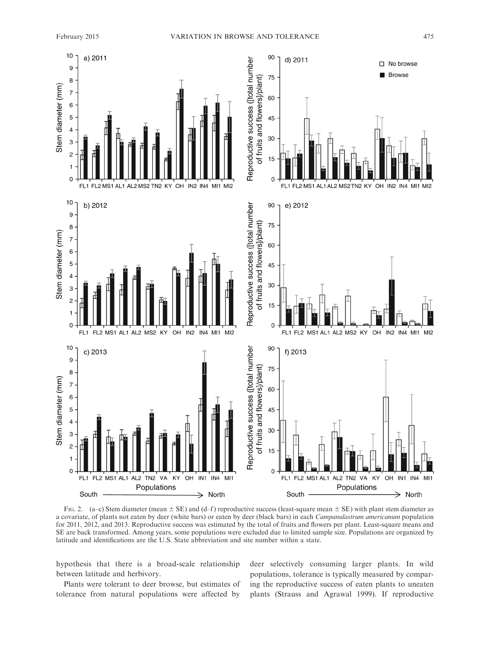

FIG. 2. (a–c) Stem diameter (mean  $\pm$  SE) and (d–f) reproductive success (least-square mean  $\pm$  SE) with plant stem diameter as a covariate, of plants not eaten by deer (white bars) or eaten by deer (black bars) in each Campanulastrum americanum population for 2011, 2012, and 2013. Reproductive success was estimated by the total of fruits and flowers per plant. Least-square means and SE are back transformed. Among years, some populations were excluded due to limited sample size. Populations are organized by latitude and identifications are the U.S. State abbreviation and site number within a state.

hypothesis that there is a broad-scale relationship between latitude and herbivory.

Plants were tolerant to deer browse, but estimates of tolerance from natural populations were affected by deer selectively consuming larger plants. In wild populations, tolerance is typically measured by comparing the reproductive success of eaten plants to uneaten plants (Strauss and Agrawal 1999). If reproductive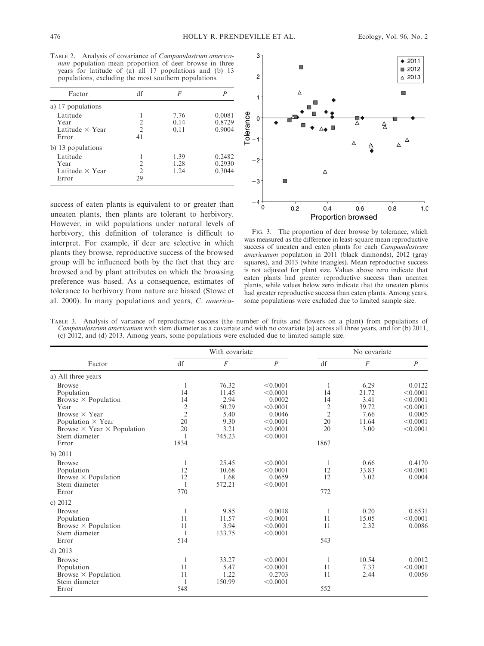TABLE 2. Analysis of covariance of Campanulastrum americanum population mean proportion of deer browse in three years for latitude of (a) all 17 populations and (b) 13 populations, excluding the most southern populations.

| Factor                                                                   | df           | F                    | P                          |
|--------------------------------------------------------------------------|--------------|----------------------|----------------------------|
| a) 17 populations                                                        |              |                      |                            |
| Latitude<br>Year<br>Latitude $\times$ Year<br>Error                      | 2<br>2<br>41 | 7.76<br>0.14<br>0.11 | 0.0081<br>0.8729<br>0.9004 |
| b) 13 populations<br>Latitude<br>Year<br>Latitude $\times$ Year<br>Error | 2<br>2<br>29 | 1.39<br>1.28<br>1.24 | 0.2482<br>0.2930<br>0.3044 |

success of eaten plants is equivalent to or greater than uneaten plants, then plants are tolerant to herbivory. However, in wild populations under natural levels of herbivory, this definition of tolerance is difficult to interpret. For example, if deer are selective in which plants they browse, reproductive success of the browsed group will be influenced both by the fact that they are browsed and by plant attributes on which the browsing preference was based. As a consequence, estimates of tolerance to herbivory from nature are biased (Stowe et al. 2000). In many populations and years, C. america-



FIG. 3. The proportion of deer browse by tolerance, which was measured as the difference in least-square mean reproductive success of uneaten and eaten plants for each Campanulastrum americanum population in 2011 (black diamonds), 2012 (gray squares), and 2013 (white triangles). Mean reproductive success is not adjusted for plant size. Values above zero indicate that eaten plants had greater reproductive success than uneaten plants, while values below zero indicate that the uneaten plants had greater reproductive success than eaten plants. Among years, some populations were excluded due to limited sample size.

| TABLE 3. Analysis of variance of reproductive success (the number of fruits and flowers on a plant) from populations of         |  |  |  |  |  |  |  |
|---------------------------------------------------------------------------------------------------------------------------------|--|--|--|--|--|--|--|
| Campanulastrum americanum with stem diameter as a covariate and with no covariate (a) across all three years, and for (b) 2011, |  |  |  |  |  |  |  |
| (c) 2012, and (d) 2013. Among years, some populations were excluded due to limited sample size.                                 |  |  |  |  |  |  |  |

|                                          |                | With covariate   |                  | No covariate   |                  |                  |  |
|------------------------------------------|----------------|------------------|------------------|----------------|------------------|------------------|--|
| Factor                                   | df             | $\boldsymbol{F}$ | $\boldsymbol{P}$ | df             | $\boldsymbol{F}$ | $\boldsymbol{P}$ |  |
| a) All three years                       |                |                  |                  |                |                  |                  |  |
| <b>Browse</b>                            | 1              | 76.32            | < 0.0001         | 1              | 6.29             | 0.0122           |  |
| Population                               | 14             | 11.45            | < 0.0001         | 14             | 21.72            | < 0.0001         |  |
| Browse $\times$ Population               | 14             | 2.94             | 0.0002           | 14             | 3.41             | < 0.0001         |  |
| Year                                     | $\overline{2}$ | 50.29            | < 0.0001         | 2              | 39.72            | < 0.0001         |  |
| Browse $\times$ Year                     | $\overline{2}$ | 5.40             | 0.0046           | $\overline{2}$ | 7.66             | 0.0005           |  |
| Population $\times$ Year                 | 20             | 9.30             | < 0.0001         | 20             | 11.64            | < 0.0001         |  |
| Browse $\times$ Year $\times$ Population | 20             | 3.21             | < 0.0001         | 20             | 3.00             | < 0.0001         |  |
| Stem diameter                            | 1              | 745.23           | < 0.0001         |                |                  |                  |  |
| Error                                    | 1834           |                  |                  | 1867           |                  |                  |  |
| b) $2011$                                |                |                  |                  |                |                  |                  |  |
| <b>Browse</b>                            | 1              | 25.45            | < 0.0001         | 1              | 0.66             | 0.4170           |  |
| Population                               | 12             | 10.68            | < 0.0001         | 12             | 33.83            | < 0.0001         |  |
| Browse $\times$ Population               | 12             | 1.68             | 0.0659           | 12             | 3.02             | 0.0004           |  |
| Stem diameter                            | 1              | 572.21           | < 0.0001         |                |                  |                  |  |
| Error                                    | 770            |                  |                  | 772            |                  |                  |  |
| c) $2012$                                |                |                  |                  |                |                  |                  |  |
| <b>Browse</b>                            |                | 9.85             | 0.0018           | 1              | 0.20             | 0.6531           |  |
| Population                               | 11             | 11.57            | < 0.0001         | 11             | 15.05            | < 0.0001         |  |
| Browse $\times$ Population               | 11             | 3.94             | < 0.0001         | 11             | 2.32             | 0.0086           |  |
| Stem diameter                            |                | 133.75           | < 0.0001         |                |                  |                  |  |
| Error                                    | 514            |                  |                  | 543            |                  |                  |  |
| $d)$ 2013                                |                |                  |                  |                |                  |                  |  |
| <b>Browse</b>                            | 1              | 33.27            | < 0.0001         | 1              | 10.54            | 0.0012           |  |
| Population                               | 11             | 5.47             | < 0.0001         | 11             | 7.33             | < 0.0001         |  |
| Browse $\times$ Population               | 11             | 1.22             | 0.2703           | 11             | 2.44             | 0.0056           |  |
| Stem diameter                            |                | 150.99           | < 0.0001         |                |                  |                  |  |
| Error                                    | 548            |                  |                  | 552            |                  |                  |  |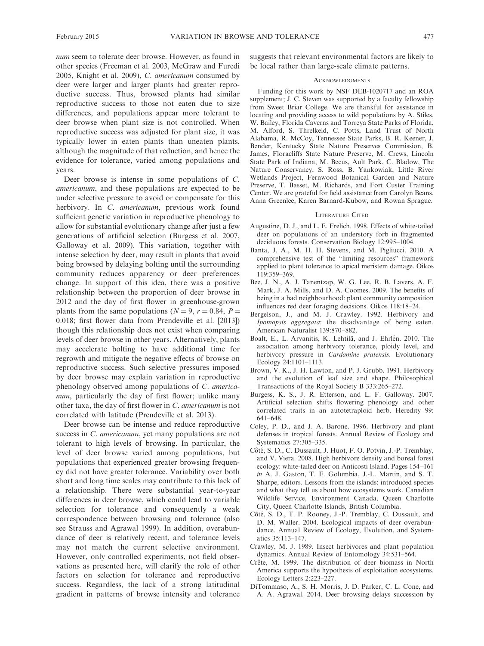num seem to tolerate deer browse. However, as found in other species (Freeman et al. 2003, McGraw and Furedi 2005, Knight et al. 2009), C. americanum consumed by deer were larger and larger plants had greater reproductive success. Thus, browsed plants had similar reproductive success to those not eaten due to size differences, and populations appear more tolerant to deer browse when plant size is not controlled. When reproductive success was adjusted for plant size, it was typically lower in eaten plants than uneaten plants, although the magnitude of that reduction, and hence the evidence for tolerance, varied among populations and years.

Deer browse is intense in some populations of C. americanum, and these populations are expected to be under selective pressure to avoid or compensate for this herbivory. In C. americanum, previous work found sufficient genetic variation in reproductive phenology to allow for substantial evolutionary change after just a few generations of artificial selection (Burgess et al. 2007, Galloway et al. 2009). This variation, together with intense selection by deer, may result in plants that avoid being browsed by delaying bolting until the surrounding community reduces apparency or deer preferences change. In support of this idea, there was a positive relationship between the proportion of deer browse in 2012 and the day of first flower in greenhouse-grown plants from the same populations ( $N = 9$ ,  $r = 0.84$ ,  $P =$ 0.018; first flower data from Prendeville et al. [2013]) though this relationship does not exist when comparing levels of deer browse in other years. Alternatively, plants may accelerate bolting to have additional time for regrowth and mitigate the negative effects of browse on reproductive success. Such selective pressures imposed by deer browse may explain variation in reproductive phenology observed among populations of C. americanum, particularly the day of first flower; unlike many other taxa, the day of first flower in C. americanum is not correlated with latitude (Prendeville et al. 2013).

Deer browse can be intense and reduce reproductive success in C. *americanum*, yet many populations are not tolerant to high levels of browsing. In particular, the level of deer browse varied among populations, but populations that experienced greater browsing frequency did not have greater tolerance. Variability over both short and long time scales may contribute to this lack of a relationship. There were substantial year-to-year differences in deer browse, which could lead to variable selection for tolerance and consequently a weak correspondence between browsing and tolerance (also see Strauss and Agrawal 1999). In addition, overabundance of deer is relatively recent, and tolerance levels may not match the current selective environment. However, only controlled experiments, not field observations as presented here, will clarify the role of other factors on selection for tolerance and reproductive success. Regardless, the lack of a strong latitudinal gradient in patterns of browse intensity and tolerance suggests that relevant environmental factors are likely to be local rather than large-scale climate patterns.

### **ACKNOWLEDGMENTS**

Funding for this work by NSF DEB-1020717 and an ROA supplement; J. C. Steven was supported by a faculty fellowship from Sweet Briar College. We are thankful for assistance in locating and providing access to wild populations by A. Stiles, W. Bailey, Florida Caverns and Torreya State Parks of Florida, M. Alford, S. Threlkeld, C. Potts, Land Trust of North Alabama, R. McCoy, Tennessee State Parks, B. R. Keener, J. Bender, Kentucky State Nature Preserves Commission, B. James, Floracliffs State Nature Preserve, M. Crews, Lincoln State Park of Indiana, M. Becus, Ault Park, C. Bladow, The Nature Conservancy, S. Ross, B. Yankowiak, Little River Wetlands Project, Fernwood Botanical Garden and Nature Preserve, T. Basset, M. Richards, and Fort Custer Training Center. We are grateful for field assistance from Carolyn Beans, Anna Greenlee, Karen Barnard-Kubow, and Rowan Sprague.

#### LITERATURE CITED

- Augustine, D. J., and L. E. Frelich. 1998. Effects of white-tailed deer on populations of an understory forb in fragmented deciduous forests. Conservation Biology 12:995–1004.
- Banta, J. A., M. H. H. Stevens, and M. Pigliucci. 2010. A comprehensive test of the ''limiting resources'' framework applied to plant tolerance to apical meristem damage. Oikos 119:359–369.
- Bee, J. N., A. J. Tanentzap, W. G. Lee, R. B. Lavers, A. F. Mark, J. A. Mills, and D. A. Coomes. 2009. The benefits of being in a bad neighbourhood: plant community composition influences red deer foraging decisions. Oikos 118:18–24.
- Bergelson, J., and M. J. Crawley. 1992. Herbivory and Ipomopsis aggregata: the disadvantage of being eaten. American Naturalist 139:870–882.
- Boalt, E., L. Arvanitis, K. Lehtilä, and J. Ehrlén. 2010. The association among herbivory tolerance, ploidy level, and herbivory pressure in Cardamine pratensis. Evolutionary Ecology 24:1101–1113.
- Brown, V. K., J. H. Lawton, and P. J. Grubb. 1991. Herbivory and the evolution of leaf size and shape. Philosophical Transactions of the Royal Society B 333:265–272.
- Burgess, K. S., J. R. Etterson, and L. F. Galloway. 2007. Artificial selection shifts flowering phenology and other correlated traits in an autotetraploid herb. Heredity 99: 641–648.
- Coley, P. D., and J. A. Barone. 1996. Herbivory and plant defenses in tropical forests. Annual Review of Ecology and Systematics 27:305–335.
- Côté, S. D., C. Dussault, J. Huot, F. O. Potvin, J.-P. Tremblay, and V. Viera. 2008. High herbivore density and boreal forest ecology: white-tailed deer on Anticosti Island. Pages 154–161 in A. J. Gaston, T. E. Golumbia, J.-L. Martin, and S. T. Sharpe, editors. Lessons from the islands: introduced species and what they tell us about how ecosystems work. Canadian Wildlife Service, Environment Canada, Queen Charlotte City, Queen Charlotte Islands, British Columbia.
- Côté, S. D., T. P. Rooney, J.-P. Tremblay, C. Dussault, and D. M. Waller. 2004. Ecological impacts of deer overabundance. Annual Review of Ecology, Evolution, and Systematics 35:113–147.
- Crawley, M. J. 1989. Insect herbivores and plant population dynamics. Annual Review of Entomology 34:531–564.
- Crête, M. 1999. The distribution of deer biomass in North America supports the hypothesis of exploitation ecosystems. Ecology Letters 2:223–227.
- DiTommaso, A., S. H. Morris, J. D. Parker, C. L. Cone, and A. A. Agrawal. 2014. Deer browsing delays succession by